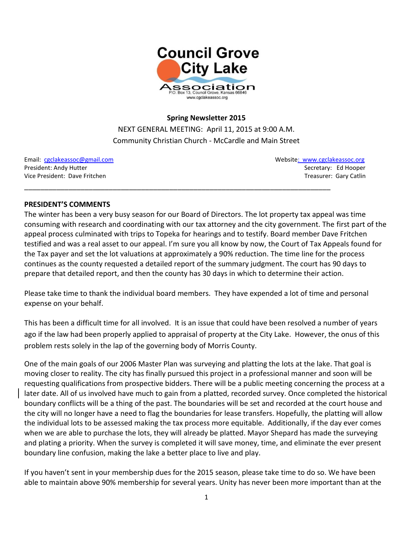

## **Spring Newsletter 2015**

NEXT GENERAL MEETING: April 11, 2015 at 9:00 A.M. Community Christian Church - McCardle and Main Street

\_\_\_\_\_\_\_\_\_\_\_\_\_\_\_\_\_\_\_\_\_\_\_\_\_\_\_\_\_\_\_\_\_\_\_\_\_\_\_\_\_\_\_\_\_\_\_\_\_\_\_\_\_\_\_\_\_\_\_\_\_\_\_\_\_\_\_\_\_\_\_\_\_\_\_\_

Email: [cgclakeassoc@gmail.com](mailto:cgclakeassoc@gmail.com) Websit[e: www.cgclakeassoc.org](http://:%20%20www.cgclakeassoc.org%0d) President: Andy Hutter Secretary: Ed Hooper Vice President: Dave Fritchen Treasurer: Gary Catlin Treasurer: Gary Catlin Treasurer: Gary Catlin

#### **PRESIDENT'S COMMENTS**

The winter has been a very busy season for our Board of Directors. The lot property tax appeal was time consuming with research and coordinating with our tax attorney and the city government. The first part of the appeal process culminated with trips to Topeka for hearings and to testify. Board member Dave Fritchen testified and was a real asset to our appeal. I'm sure you all know by now, the Court of Tax Appeals found for the Tax payer and set the lot valuations at approximately a 90% reduction. The time line for the process continues as the county requested a detailed report of the summary judgment. The court has 90 days to prepare that detailed report, and then the county has 30 days in which to determine their action.

Please take time to thank the individual board members. They have expended a lot of time and personal expense on your behalf.

This has been a difficult time for all involved. It is an issue that could have been resolved a number of years ago if the law had been properly applied to appraisal of property at the City Lake. However, the onus of this problem rests solely in the lap of the governing body of Morris County.

One of the main goals of our 2006 Master Plan was surveying and platting the lots at the lake. That goal is moving closer to reality. The city has finally pursued this project in a professional manner and soon will be requesting qualifications from prospective bidders. There will be a public meeting concerning the process at a later date. All of us involved have much to gain from a platted, recorded survey. Once completed the historical boundary conflicts will be a thing of the past. The boundaries will be set and recorded at the court house and the city will no longer have a need to flag the boundaries for lease transfers. Hopefully, the platting will allow the individual lots to be assessed making the tax process more equitable. Additionally, if the day ever comes when we are able to purchase the lots, they will already be platted. Mayor Shepard has made the surveying and plating a priority. When the survey is completed it will save money, time, and eliminate the ever present boundary line confusion, making the lake a better place to live and play.

If you haven't sent in your membership dues for the 2015 season, please take time to do so. We have been able to maintain above 90% membership for several years. Unity has never been more important than at the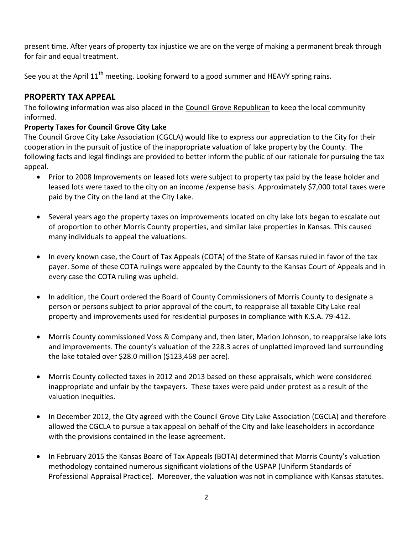present time. After years of property tax injustice we are on the verge of making a permanent break through for fair and equal treatment.

See you at the April  $11<sup>th</sup>$  meeting. Looking forward to a good summer and HEAVY spring rains.

# **PROPERTY TAX APPEAL**

The following information was also placed in the Council Grove Republican to keep the local community informed.

## **Property Taxes for Council Grove City Lake**

The Council Grove City Lake Association (CGCLA) would like to express our appreciation to the City for their cooperation in the pursuit of justice of the inappropriate valuation of lake property by the County. The following facts and legal findings are provided to better inform the public of our rationale for pursuing the tax appeal.

- Prior to 2008 Improvements on leased lots were subject to property tax paid by the lease holder and leased lots were taxed to the city on an income /expense basis. Approximately \$7,000 total taxes were paid by the City on the land at the City Lake.
- Several years ago the property taxes on improvements located on city lake lots began to escalate out of proportion to other Morris County properties, and similar lake properties in Kansas. This caused many individuals to appeal the valuations.
- In every known case, the Court of Tax Appeals (COTA) of the State of Kansas ruled in favor of the tax payer. Some of these COTA rulings were appealed by the County to the Kansas Court of Appeals and in every case the COTA ruling was upheld.
- In addition, the Court ordered the Board of County Commissioners of Morris County to designate a person or persons subject to prior approval of the court, to reappraise all taxable City Lake real property and improvements used for residential purposes in compliance with K.S.A. 79-412.
- Morris County commissioned Voss & Company and, then later, Marion Johnson, to reappraise lake lots and improvements. The county's valuation of the 228.3 acres of unplatted improved land surrounding the lake totaled over \$28.0 million (\$123,468 per acre).
- Morris County collected taxes in 2012 and 2013 based on these appraisals, which were considered inappropriate and unfair by the taxpayers. These taxes were paid under protest as a result of the valuation inequities.
- In December 2012, the City agreed with the Council Grove City Lake Association (CGCLA) and therefore allowed the CGCLA to pursue a tax appeal on behalf of the City and lake leaseholders in accordance with the provisions contained in the lease agreement.
- In February 2015 the Kansas Board of Tax Appeals (BOTA) determined that Morris County's valuation methodology contained numerous significant violations of the USPAP (Uniform Standards of Professional Appraisal Practice). Moreover, the valuation was not in compliance with Kansas statutes.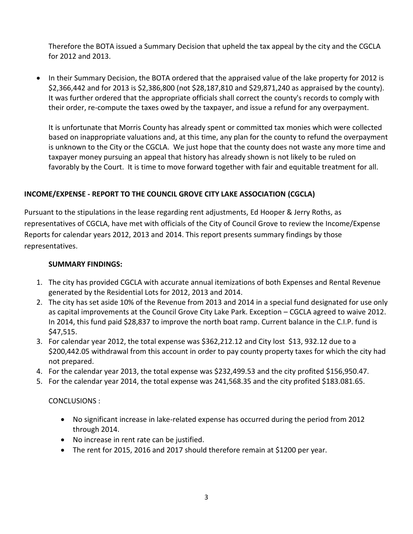Therefore the BOTA issued a Summary Decision that upheld the tax appeal by the city and the CGCLA for 2012 and 2013.

• In their Summary Decision, the BOTA ordered that the appraised value of the lake property for 2012 is \$2,366,442 and for 2013 is \$2,386,800 (not \$28,187,810 and \$29,871,240 as appraised by the county). It was further ordered that the appropriate officials shall correct the county's records to comply with their order, re-compute the taxes owed by the taxpayer, and issue a refund for any overpayment.

It is unfortunate that Morris County has already spent or committed tax monies which were collected based on inappropriate valuations and, at this time, any plan for the county to refund the overpayment is unknown to the City or the CGCLA. We just hope that the county does not waste any more time and taxpayer money pursuing an appeal that history has already shown is not likely to be ruled on favorably by the Court. It is time to move forward together with fair and equitable treatment for all.

## **INCOME/EXPENSE - REPORT TO THE COUNCIL GROVE CITY LAKE ASSOCIATION (CGCLA)**

Pursuant to the stipulations in the lease regarding rent adjustments, Ed Hooper & Jerry Roths, as representatives of CGCLA, have met with officials of the City of Council Grove to review the Income/Expense Reports for calendar years 2012, 2013 and 2014. This report presents summary findings by those representatives.

### **SUMMARY FINDINGS:**

- 1. The city has provided CGCLA with accurate annual itemizations of both Expenses and Rental Revenue generated by the Residential Lots for 2012, 2013 and 2014.
- 2. The city has set aside 10% of the Revenue from 2013 and 2014 in a special fund designated for use only as capital improvements at the Council Grove City Lake Park. Exception – CGCLA agreed to waive 2012. In 2014, this fund paid \$28,837 to improve the north boat ramp. Current balance in the C.I.P. fund is \$47,515.
- 3. For calendar year 2012, the total expense was \$362,212.12 and City lost \$13, 932.12 due to a \$200,442.05 withdrawal from this account in order to pay county property taxes for which the city had not prepared.
- 4. For the calendar year 2013, the total expense was \$232,499.53 and the city profited \$156,950.47.
- 5. For the calendar year 2014, the total expense was 241,568.35 and the city profited \$183.081.65.

#### CONCLUSIONS :

- No significant increase in lake-related expense has occurred during the period from 2012 through 2014.
- No increase in rent rate can be justified.
- The rent for 2015, 2016 and 2017 should therefore remain at \$1200 per year.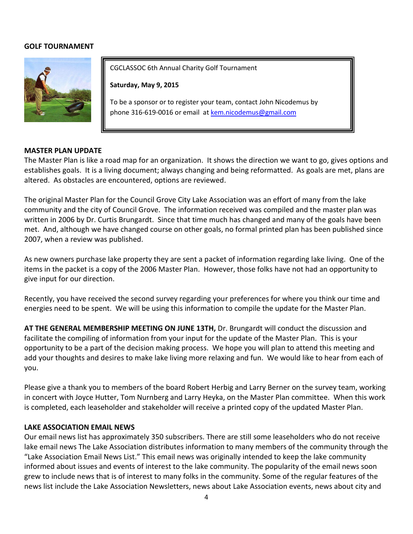### **GOLF TOURNAMENT**



CGCLASSOC 6th Annual Charity Golf Tournament

**Saturday, May 9, 2015**

To be a sponsor or to register your team, contact John Nicodemus by phone 316-619-0016 or email a[t kem.nicodemus@gmail.com](mailto:kem.nicodemus@gmail.com)

#### **MASTER PLAN UPDATE**

The Master Plan is like a road map for an organization. It shows the direction we want to go, gives options and establishes goals. It is a living document; always changing and being reformatted. As goals are met, plans are altered. As obstacles are encountered, options are reviewed.

The original Master Plan for the Council Grove City Lake Association was an effort of many from the lake community and the city of Council Grove. The information received was compiled and the master plan was written in 2006 by Dr. Curtis Brungardt. Since that time much has changed and many of the goals have been met. And, although we have changed course on other goals, no formal printed plan has been published since 2007, when a review was published.

As new owners purchase lake property they are sent a packet of information regarding lake living. One of the items in the packet is a copy of the 2006 Master Plan. However, those folks have not had an opportunity to give input for our direction.

Recently, you have received the second survey regarding your preferences for where you think our time and energies need to be spent. We will be using this information to compile the update for the Master Plan.

**AT THE GENERAL MEMBERSHIP MEETING ON JUNE 13TH,** Dr. Brungardt will conduct the discussion and facilitate the compiling of information from your input for the update of the Master Plan. This is your opportunity to be a part of the decision making process. We hope you will plan to attend this meeting and add your thoughts and desires to make lake living more relaxing and fun. We would like to hear from each of you.

Please give a thank you to members of the board Robert Herbig and Larry Berner on the survey team, working in concert with Joyce Hutter, Tom Nurnberg and Larry Heyka, on the Master Plan committee. When this work is completed, each leaseholder and stakeholder will receive a printed copy of the updated Master Plan.

#### **LAKE ASSOCIATION EMAIL NEWS**

Our email news list has approximately 350 subscribers. There are still some leaseholders who do not receive lake email news The Lake Association distributes information to many members of the community through the "Lake Association Email News List." This email news was originally intended to keep the lake community informed about issues and events of interest to the lake community. The popularity of the email news soon grew to include news that is of interest to many folks in the community. Some of the regular features of the news list include the Lake Association Newsletters, news about Lake Association events, news about city and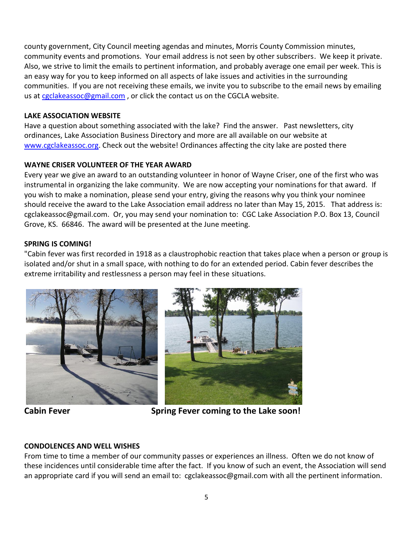county government, City Council meeting agendas and minutes, Morris County Commission minutes, community events and promotions. Your email address is not seen by other subscribers. We keep it private. Also, we strive to limit the emails to pertinent information, and probably average one email per week. This is an easy way for you to keep informed on all aspects of lake issues and activities in the surrounding communities. If you are not receiving these emails, we invite you to subscribe to the email news by emailing us at [cgclakeassoc@gmail.com](mailto:cgclakeassoc@gmail.com), or click the contact us on the CGCLA website.

### **LAKE ASSOCIATION WEBSITE**

Have a question about something associated with the lake? Find the answer. Past newsletters, city ordinances, Lake Association Business Directory and more are all available on our website at [www.cgclakeassoc.org.](http://www.cgclakeassoc.org/) Check out the website! Ordinances affecting the city lake are posted there

## **WAYNE CRISER VOLUNTEER OF THE YEAR AWARD**

Every year we give an award to an outstanding volunteer in honor of Wayne Criser, one of the first who was instrumental in organizing the lake community. We are now accepting your nominations for that award. If you wish to make a nomination, please send your entry, giving the reasons why you think your nominee should receive the award to the Lake Association email address no later than May 15, 2015. That address is: cgclakeassoc@gmail.com. Or, you may send your nomination to: CGC Lake Association P.O. Box 13, Council Grove, KS. 66846. The award will be presented at the June meeting.

## **SPRING IS COMING!**

"Cabin fever was first recorded in 1918 as a claustrophobic reaction that takes place when a person or group is isolated and/or shut in a small space, with nothing to do for an extended period. Cabin fever describes the extreme irritability and restlessness a person may feel in these situations.





**Cabin Fever Spring Fever coming to the Lake soon!** 

## **CONDOLENCES AND WELL WISHES**

From time to time a member of our community passes or experiences an illness. Often we do not know of these incidences until considerable time after the fact. If you know of such an event, the Association will send an appropriate card if you will send an email to: cgclakeassoc@gmail.com with all the pertinent information.